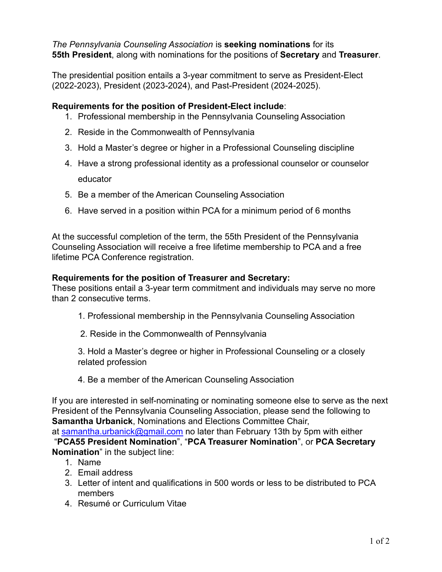*The Pennsylvania Counseling Association* is **seeking nominations** for its **55th President**, along with nominations for the positions of **Secretary** and **Treasurer**.

The presidential position entails a 3-year commitment to serve as President-Elect (2022-2023), President (2023-2024), and Past-President (2024-2025).

## **Requirements for the position of President-Elect include**:

- 1. Professional membership in the Pennsylvania Counseling Association
- 2. Reside in the Commonwealth of Pennsylvania
- 3. Hold a Master's degree or higher in a Professional Counseling discipline
- 4. Have a strong professional identity as a professional counselor or counselor educator
- 5. Be a member of the American Counseling Association
- 6. Have served in a position within PCA for a minimum period of 6 months

At the successful completion of the term, the 55th President of the Pennsylvania Counseling Association will receive a free lifetime membership to PCA and a free lifetime PCA Conference registration.

## **Requirements for the position of Treasurer and Secretary:**

These positions entail a 3-year term commitment and individuals may serve no more than 2 consecutive terms.

- 1. Professional membership in the Pennsylvania Counseling Association
- 2. Reside in the Commonwealth of Pennsylvania

3. Hold a Master's degree or higher in Professional Counseling or a closely related profession

4. Be a member of the American Counseling Association

If you are interested in self-nominating or nominating someone else to serve as the next President of the Pennsylvania Counseling Association, please send the following to **Samantha Urbanick**, Nominations and Elections Committee Chair, at samantha.urbanick@gmail.com no later than February 13th by 5pm with either "**PCA55 President Nomination**", "**PCA Treasurer Nomination**", or **PCA Secretary Nomination**" in the subject line:

- 1. Name
- 2. Email address
- 3. Letter of intent and qualifications in 500 words or less to be distributed to PCA members
- 4. Resumé or Curriculum Vitae